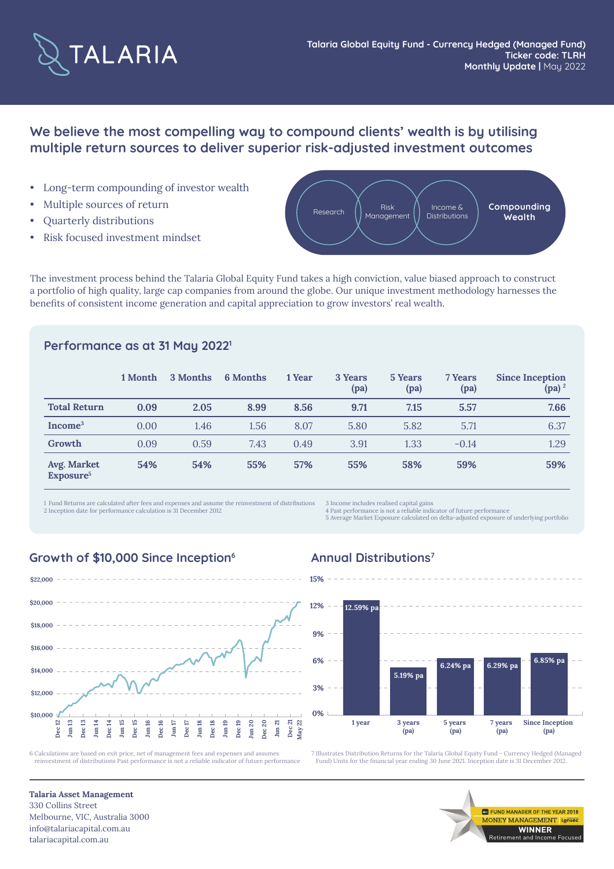

# **We believe the most compelling way to compound clients' wealth is by utilising multiple return sources to deliver superior risk-adjusted investment outcomes**

- Long-term compounding of investor wealth
- Multiple sources of return
- Quarterly distributions
- Risk focused investment mindset



The investment process behind the Talaria Global Equity Fund takes a high conviction, value biased approach to construct a portfolio of high quality, large cap companies from around the globe. Our unique investment methodology harnesses the benefits of consistent income generation and capital appreciation to grow investors' real wealth.

### **Performance as at 31 May 20221**

|                                      | 1 Month | 3 Months | <b>6</b> Months | 1 Year | 3 Years<br>(pa) | 5 Years<br>(pa) | 7 Years<br>(pa) | <b>Since Inception</b><br>$(pa)^2$ |
|--------------------------------------|---------|----------|-----------------|--------|-----------------|-----------------|-----------------|------------------------------------|
| <b>Total Return</b>                  | 0.09    | 2.05     | 8.99            | 8.56   | 9.71            | 7.15            | 5.57            | 7.66                               |
| Income <sup>3</sup>                  | 0.00    | 1.46     | 1.56            | 8.07   | 5.80            | 5.82            | 5.71            | 6.37                               |
| Growth                               | 0.09    | 0.59     | 7.43            | 0.49   | 3.91            | 1.33            | $-0.14$         | 1.29                               |
| Avg. Market<br>Exposure <sup>5</sup> | 54%     | 54%      | 55%             | 57%    | 55%             | 58%             | 59%             | 59%                                |

1 Fund Returns are calculated after fees and expenses and assume the reinvestment of distributions 2 Inception date for performance calculation is 31 December 2012

3 Income includes realised capital gain

4 Past performance is not a reliable indicator of future performance 5 Average Market Exposure calculated on delta-adjusted exposure of underlying portfolio

#### **Growth of \$10,000 Since Inception<sup>6</sup> Annual Distributions<sup>7</sup>**



6 Calculations are based on exit price, net of management fees and expenses and assumes reinvestment of distributions Past performance is not a reliable indicator of future performance



7 Illustrates Distribution Returns for the Talaria Global Equity Fund - Currency Hedged (Managed Fund) Units for the financial year ending 30 June 2021. Inception date is 31 December 2012.

> **MARGER OF THE YEAR 2018** NEY MANAGEMENT Lons **WINNER** Retirement and Income Focused

**Talaria Asset Management** 330 Collins Street Melbourne, VIC, Australia 3000 info@talariacapital.com.au talariacapital.com.au